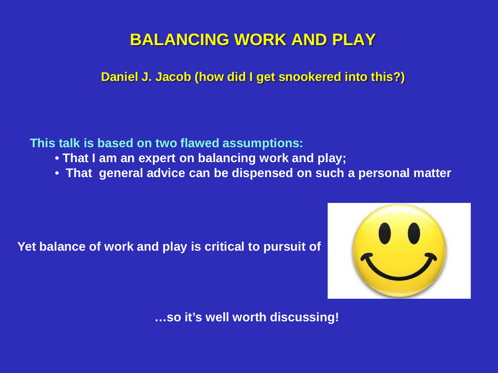# **BALANCING WORK AND PLAY**

**Daniel J. Jacob (how did I get snookered into this?)**

**This talk is based on two flawed assumptions:**

- **That I am an expert on balancing work and play;**
- **That general advice can be dispensed on such a personal matter**

**Yet balance of work and play is critical to pursuit of** 



**…so it's well worth discussing!**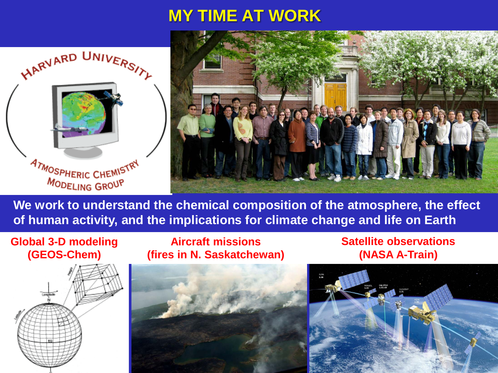# **MY TIME AT WORK**





**We work to understand the chemical composition of the atmosphere, the effect of human activity, and the implications for climate change and life on Earth**

#### **Global 3-D modeling (GEOS-Chem)**

**Aircraft missions (fires in N. Saskatchewan)** **Satellite observations (NASA A-Train)**





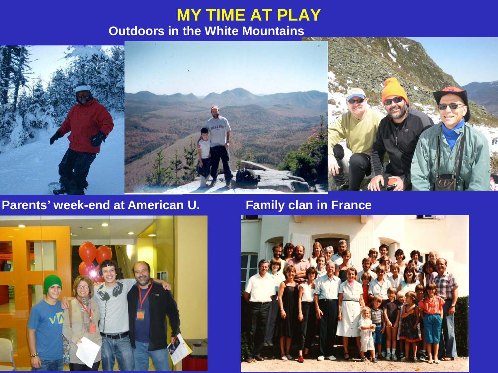## **MY TIME AT PLAY Outdoors in the White Mountains**



### Parents' week-end at American U. **Family clan in France**



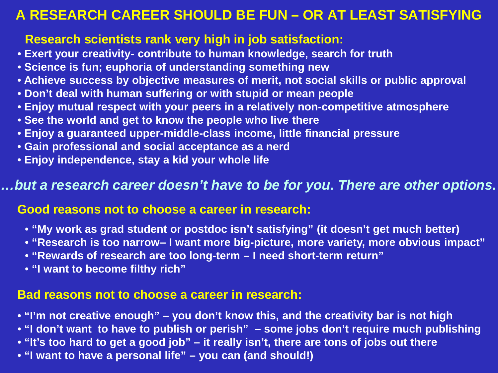### **A RESEARCH CAREER SHOULD BE FUN – OR AT LEAST SATISFYING**

### **Research scientists rank very high in job satisfaction:**

- **Exert your creativity- contribute to human knowledge, search for truth**
- **Science is fun; euphoria of understanding something new**
- **Achieve success by objective measures of merit, not social skills or public approval**
- **Don't deal with human suffering or with stupid or mean people**
- **Enjoy mutual respect with your peers in a relatively non-competitive atmosphere**
- **See the world and get to know the people who live there**
- **Enjoy a guaranteed upper-middle-class income, little financial pressure**
- **Gain professional and social acceptance as a nerd**
- **Enjoy independence, stay a kid your whole life**

#### *…but a research career doesn't have to be for you. There are other options.*

#### **Good reasons not to choose a career in research:**

- **"My work as grad student or postdoc isn't satisfying" (it doesn't get much better)**
- **"Research is too narrow– I want more big-picture, more variety, more obvious impact"**
- **"Rewards of research are too long-term – I need short-term return"**
- **"I want to become filthy rich"**

#### **Bad reasons not to choose a career in research:**

- **"I'm not creative enough" – you don't know this, and the creativity bar is not high**
- **"I don't want to have to publish or perish" – some jobs don't require much publishing**
- **"It's too hard to get a good job" – it really isn't, there are tons of jobs out there**
- **"I want to have a personal life" – you can (and should!)**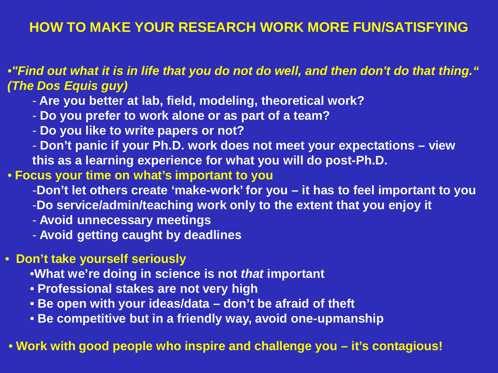### **HOW TO MAKE YOUR RESEARCH WORK MORE FUN/SATISFYING**

#### •*"Find out what it is in life that you do not do well, and then don't do that thing." (The Dos Equis guy)*

- **Are you better at lab, field, modeling, theoretical work?**
- **Do you prefer to work alone or as part of a team?**
- **Do you like to write papers or not?**
- **Don't panic if your Ph.D. work does not meet your expectations – view this as a learning experience for what you will do post-Ph.D.**
- **Focus your time on what's important to you**
	- -**Don't let others create 'make-work' for you – it has to feel important to you**
	- -**Do service/admin/teaching work only to the extent that you enjoy it**
	- **Avoid unnecessary meetings**
	- **Avoid getting caught by deadlines**

#### • **Don't take yourself seriously**

- •**What we're doing in science is not** *that* **important**
- **Professional stakes are not very high**
- **Be open with your ideas/data – don't be afraid of theft**
- **Be competitive but in a friendly way, avoid one-upmanship**

#### • **Work with good people who inspire and challenge you – it's contagious!**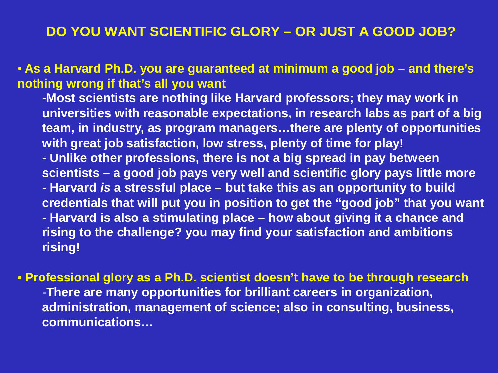### **DO YOU WANT SCIENTIFIC GLORY – OR JUST A GOOD JOB?**

• **As a Harvard Ph.D. you are guaranteed at minimum a good job – and there's nothing wrong if that's all you want**

-**Most scientists are nothing like Harvard professors; they may work in universities with reasonable expectations, in research labs as part of a big team, in industry, as program managers…there are plenty of opportunities with great job satisfaction, low stress, plenty of time for play!** - **Unlike other professions, there is not a big spread in pay between scientists – a good job pays very well and scientific glory pays little more** - **Harvard** *is* **a stressful place – but take this as an opportunity to build credentials that will put you in position to get the "good job" that you want** - **Harvard is also a stimulating place – how about giving it a chance and rising to the challenge? you may find your satisfaction and ambitions rising!**

• **Professional glory as a Ph.D. scientist doesn't have to be through research** -**There are many opportunities for brilliant careers in organization, administration, management of science; also in consulting, business, communications…**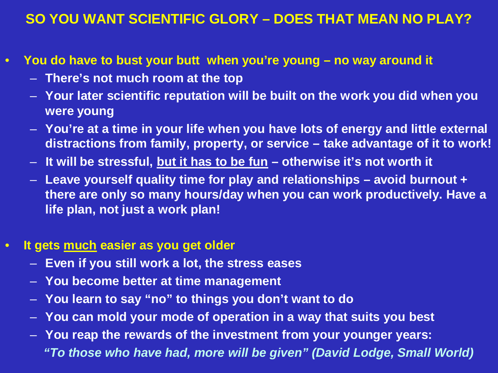### **SO YOU WANT SCIENTIFIC GLORY – DOES THAT MEAN NO PLAY?**

- **You do have to bust your butt when you're young – no way around it**
	- **There's not much room at the top**
	- **Your later scientific reputation will be built on the work you did when you were young**
	- **You're at a time in your life when you have lots of energy and little external distractions from family, property, or service – take advantage of it to work!**
	- **It will be stressful, but it has to be fun – otherwise it's not worth it**
	- **Leave yourself quality time for play and relationships – avoid burnout + there are only so many hours/day when you can work productively. Have a life plan, not just a work plan!**

#### • **It gets much easier as you get older**

- **Even if you still work a lot, the stress eases**
- **You become better at time management**
- **You learn to say "no" to things you don't want to do**
- **You can mold your mode of operation in a way that suits you best**
- **You reap the rewards of the investment from your younger years:** *"To those who have had, more will be given" (David Lodge, Small World)*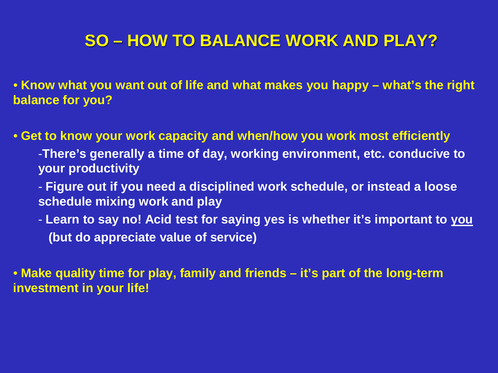# **SO – HOW TO BALANCE WORK AND PLAY?**

• **Know what you want out of life and what makes you happy – what's the right balance for you?**

• **Get to know your work capacity and when/how you work most efficiently**

-**There's generally a time of day, working environment, etc. conducive to your productivity**

- **Figure out if you need a disciplined work schedule, or instead a loose schedule mixing work and play**

- **Learn to say no! Acid test for saying yes is whether it's important to you (but do appreciate value of service)**

• **Make quality time for play, family and friends – it's part of the long-term investment in your life!**